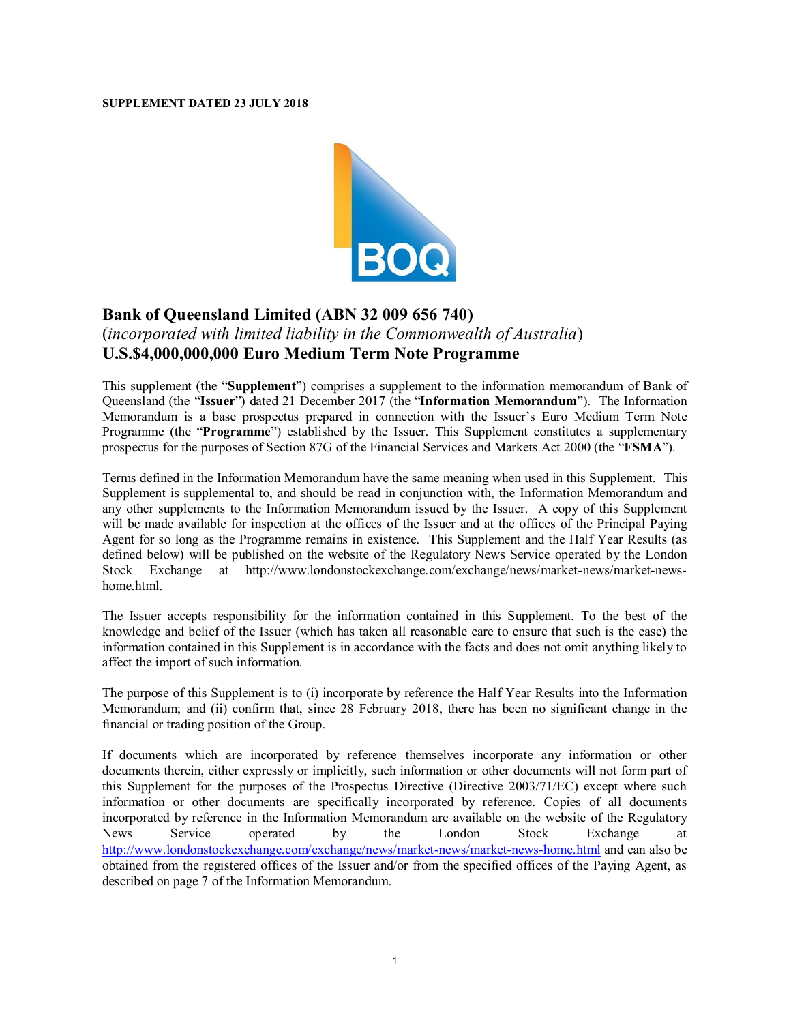## **SUPPLEMENT DATED 23 JULY 2018**



## **Bank of Queensland Limited (ABN 32 009 656 740)** (*incorporated with limited liability in the Commonwealth of Australia*) **U.S.\$4,000,000,000 Euro Medium Term Note Programme**

This supplement (the "**Supplement**") comprises a supplement to the information memorandum of Bank of Queensland (the "**Issuer**") dated 21 December 2017 (the "**Information Memorandum**"). The Information Memorandum is a base prospectus prepared in connection with the Issuer's Euro Medium Term Note Programme (the "**Programme**") established by the Issuer. This Supplement constitutes a supplementary prospectus for the purposes of Section 87G of the Financial Services and Markets Act 2000 (the "**FSMA**").

Terms defined in the Information Memorandum have the same meaning when used in this Supplement. This Supplement is supplemental to, and should be read in conjunction with, the Information Memorandum and any other supplements to the Information Memorandum issued by the Issuer. A copy of this Supplement will be made available for inspection at the offices of the Issuer and at the offices of the Principal Paying Agent for so long as the Programme remains in existence. This Supplement and the Half Year Results (as defined below) will be published on the website of the Regulatory News Service operated by the London Stock Exchange at http://www.londonstockexchange.com/exchange/news/market-news/market-newshome.html.

The Issuer accepts responsibility for the information contained in this Supplement. To the best of the knowledge and belief of the Issuer (which has taken all reasonable care to ensure that such is the case) the information contained in this Supplement is in accordance with the facts and does not omit anything likely to affect the import of such information.

The purpose of this Supplement is to (i) incorporate by reference the Half Year Results into the Information Memorandum; and (ii) confirm that, since 28 February 2018, there has been no significant change in the financial or trading position of the Group.

If documents which are incorporated by reference themselves incorporate any information or other documents therein, either expressly or implicitly, such information or other documents will not form part of this Supplement for the purposes of the Prospectus Directive (Directive 2003/71/EC) except where such information or other documents are specifically incorporated by reference. Copies of all documents incorporated by reference in the Information Memorandum are available on the website of the Regulatory News Service operated by the London Stock Exchange at http://www.londonstockexchange.com/exchange/news/market-news/market-news-home.html and can also be obtained from the registered offices of the Issuer and/or from the specified offices of the Paying Agent, as described on page 7 of the Information Memorandum.